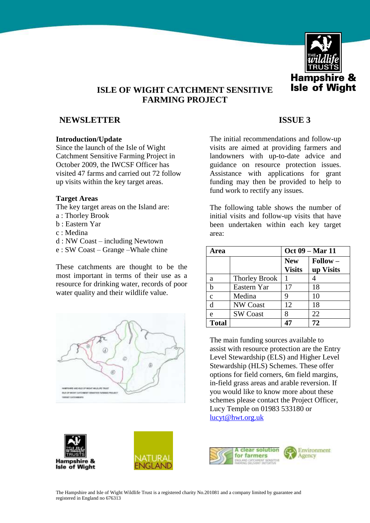

# **ISLE OF WIGHT CATCHMENT SENSITIVE FARMING PROJECT**

# **NEWSLETTER** ISSUE 3

### **Introduction/Update**

Since the launch of the Isle of Wight Catchment Sensitive Farming Project in October 2009, the IWCSF Officer has visited 47 farms and carried out 72 follow up visits within the key target areas.

### **Target Areas**

The key target areas on the Island are:

- a : Thorley Brook
- b : Eastern Yar
- c : Medina
- d : NW Coast including Newtown
- e : SW Coast Grange –Whale chine

These catchments are thought to be the most important in terms of their use as a resource for drinking water, records of poor water quality and their wildlife value.



The initial recommendations and follow-up visits are aimed at providing farmers and landowners with up-to-date advice and guidance on resource protection issues. Assistance with applications for grant funding may then be provided to help to fund work to rectify any issues.

The following table shows the number of initial visits and follow-up visits that have been undertaken within each key target area:

| Area           |                      | Oct 09 – Mar 11             |                                |
|----------------|----------------------|-----------------------------|--------------------------------|
|                |                      | <b>New</b><br><b>Visits</b> | $\text{Follow} -$<br>up Visits |
| a              | <b>Thorley Brook</b> |                             |                                |
| h              | Eastern Yar          | 17                          | 18                             |
| $\overline{c}$ | Medina               | 9                           | 10                             |
| d              | <b>NW Coast</b>      | 12                          | 18                             |
| e              | <b>SW Coast</b>      | 8                           | 22                             |
| <b>Total</b>   |                      | 47                          | 72                             |

The main funding sources available to assist with resource protection are the Entry Level Stewardship (ELS) and Higher Level Stewardship (HLS) Schemes. These offer options for field corners, 6m field margins, in-field grass areas and arable reversion. If you would like to know more about these schemes please contact the Project Officer, Lucy Temple on 01983 533180 or [lucyt@hwt.org.uk](mailto:lucyt@hwt.org.uk) 

**Hampshire &**